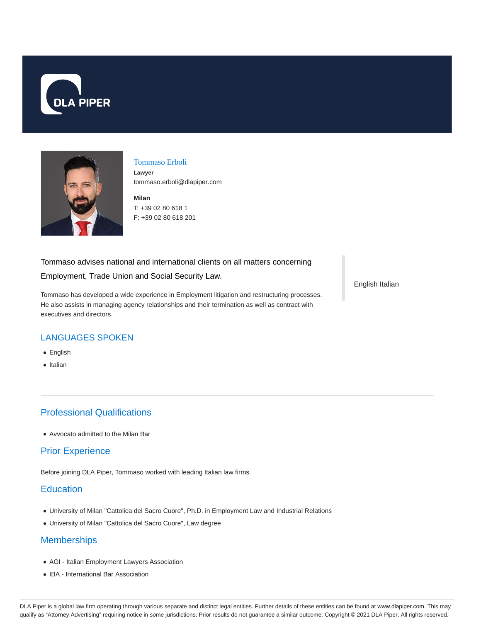



#### Tommaso Erboli

**Lawyer** tommaso.erboli@dlapiper.com

**Milan** T: +39 02 80 618 1 F: +39 02 80 618 201

#### Tommaso advises national and international clients on all matters concerning

Employment, Trade Union and Social Security Law.

Tommaso has developed a wide experience in Employment litigation and restructuring processes. He also assists in managing agency relationships and their termination as well as contract with executives and directors.

English Italian

### LANGUAGES SPOKEN

- English
- Italian

## Professional Qualifications

Avvocato admitted to the Milan Bar

## Prior Experience

Before joining DLA Piper, Tommaso worked with leading Italian law firms.

## **Education**

- University of Milan "Cattolica del Sacro Cuore", Ph.D. in Employment Law and Industrial Relations
- University of Milan "Cattolica del Sacro Cuore", Law degree

# **Memberships**

- AGI Italian Employment Lawyers Association
- IBA International Bar Association